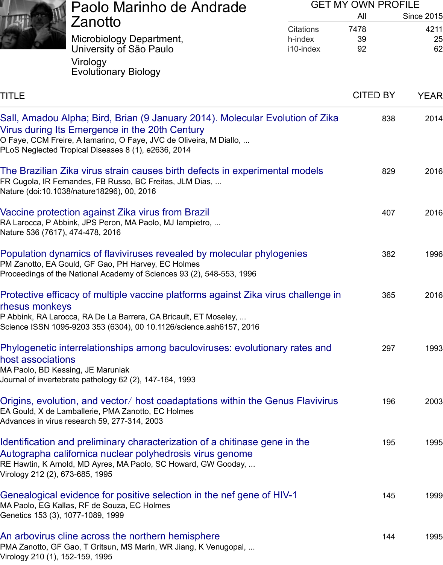# TITLE GENERAL CITED AND RELEASED AT A CITED AND RELEASED FOR A SERIES OF STREET AND RELEASED FOR A STREET AND

### Sall, Amadou Alpha; Bird, Brian (9 January 2014). Molecular Evol[ution of Z](javascript:void(0))ika Virus during Its [Emergence in the 20th Century](https://scholar.google.com/citations?view_op=view_org&hl=en&org=4833850012421173011)

O Faye, CCM Freir[e, A Iamarino, O Faye, JVC de Oliveira, M Diallo, ...](https://scholar.google.com/citations?view_op=search_authors&hl=en&mauthors=label:virology) PLoS Neglected Tr[opical Diseases 8 \(1\), e2636, 2014](https://scholar.google.com/citations?view_op=search_authors&hl=en&mauthors=label:evolutionary_biology)

### [The B](https://scholar.google.com/citations?hl=en&user=Qd_URJY2owAC&view_op=list_works&sortby=title)razilian Zika virus strain causes birth defects in experimental models FR Cugola, IR Fernandes, FB Russo, BC Freitas, JLM Dias, ...

[Nature \(doi:10.1038/nature18296\), 00, 2016](javascript:void(0))

# Vaccine protection against Zika virus from Brazil

RA Larocca, P Abbink, JPS Peron, MA Paolo, MJ Iampietro, ... Nature 536 (7617), 474-478, 2016

# [Population dynamics of flaviviruses revealed by molecular phylogenies](javascript:void(0))

PM Zanotto, EA Gould, GF Gao, PH Harvey, EC Holmes Proceedings of the National Academy of Sciences 93 (2), 548-553, 1996

# [Protective efficacy of multiple vaccine platforms](javascript:void(0)) against Zika virus challenge in rhesus monkeys

P Abbink, RA Larocca, RA De La Barrera, CA Bricault, ET Moseley, ... [Science ISSN 1095-9203 353 \(6304\), 00 10.1126/science.aah6157, 2016](javascript:void(0))

### Phylogenetic interrelationships among baculoviruses: evolutionary rates and host associations

MA Paolo, BD Kessing, JE Maruniak [Journal of invertebrate pathology 62 \(2\), 147-164, 1993](javascript:void(0))

### Origins, evolution, and vector/ host coadaptations within the Genus Flavivirus EA Gould, X de Lamballerie, PMA Zanotto, EC Holmes Advances in virus research 59, 277-314, 2003

### [Identification and preliminary characterization of a chitinase gene in the](javascript:void(0)) Autographa californica nuclear polyhedrosis virus genome RE Hawtin, K Arnold, MD Ayres, MA Paolo, SC Howard, GW Gooday, ... [Virology 212 \(2\), 673-685, 1995](javascript:void(0))

#### Genealogical evidence for positive selection in the nef gene of HIV-1 MA Paolo, EG Kallas, RF de Souza, EC Holmes

Genetics 153 (3), 1077-1089, 1999

# [An arbovirus cline across the northern hemisphere](javascript:void(0))

PMA Zanotto, GF Gao, T Gritsun, MS Marin, WR Jiang, K Venugopal, ... Virology 210 (1), 152-159, 1995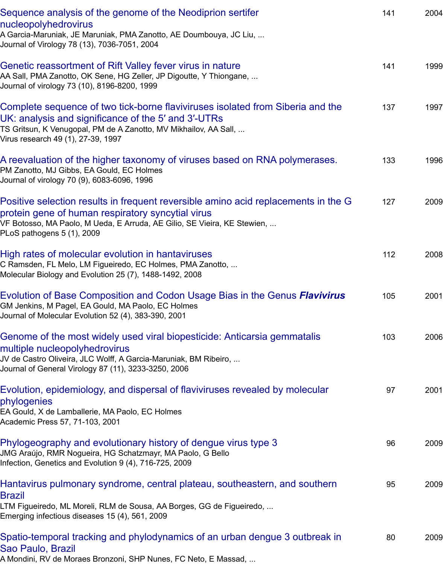AA Sali, PMA Zanotto, OK Sene, HO Zeller, JP Digoutte, P Thiong Journal of virology 73 (10), 8196-8200, 1999

[Complete sequence of two tick-borne flaviviruses isolated fr](javascript:void(0))om Siberia and the UK: analysis and significance of the 5′ and 3′-UTRs

TS Gritsun, K Venugopal, PM de A Zanotto, MV Mikhailov, AA Sall, ... [Virus research 49 \(1\), 27-39, 1997](javascript:void(0))

A reevaluation of the higher taxonomy of viruses based on RNA polymerases. PM Zanotto, MJ Gibbs, EA Gould, EC Holmes Journal of virology 70 (9), 6083-6096, 1996

[Positive selection results in frequent reversible amino acid replacements in the](javascript:void(0)) G protein gene of human respiratory syncytial virus

VF Botosso, MA Paolo, M Ueda, E Arruda, AE Gilio, SE Vieira, KE Stewien, ... [PLoS pathogens 5 \(1\), 2009](javascript:void(0))

High rates of molecular evolution in hantaviruses C Ramsden, FL Melo, LM Figueiredo, EC Holmes, PMA Zanotto, ... Molecular Biology and Evolution 25 (7), 1488-1492, 2008

[Evolution of Base Composition and Codon Usage Bias in the Genus](javascript:void(0)) *Flavivirus* GM Jenkins, M Pagel, EA Gould, MA Paolo, EC Holmes Journal of Molecular Evolution 52 (4), 383-390, 2001

[Genome of the most widely used viral biopesticid](javascript:void(0))e: Anticarsia gemmatalis multiple nucleopolyhedrovirus

JV de Castro Oliveira, JLC Wolff, A Garcia-Maruniak, BM Ribeiro, ... [Journal of General Virology 87 \(11\), 3233-3250, 2006](javascript:void(0))

Evolution, epidemiology, and dispersal of flaviviruses revealed by molecular phylogenies

[EA Gould, X de Lamballerie, MA Paolo, EC Holmes](javascript:void(0)) Academic Press 57, 71-103, 2001

Phylogeography and evolutionary history of dengue virus type 3 JMG Araújo, RMR Nogueira, HG Schatzmayr, MA Paolo, G Bello Infection, Genetics and Evolution 9 (4), 716-725, 2009

[Hantavirus pulmonary syndrome, central plateau, southeastern, and souther](javascript:void(0))n Brazil

LTM Figueiredo, ML Moreli, RLM de Sousa, AA Borges, GG de Figueiredo, ... [Emerging infectious diseases 15 \(4\), 561, 2009](javascript:void(0))

# Spatio-temporal tracking and phylodynamics of an urban dengue 3 outbreak in Sao Paulo, Brazil

[A Mondini, RV de Moraes Bronzoni, SHP Nunes, FC Neto, E Massad, ...](javascript:void(0))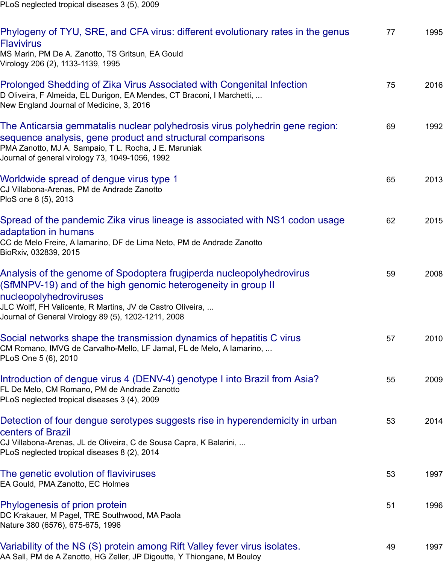Prolonged Shedding of Zika Virus Associated with Congenital Infection D Oliveira, F Almeida, EL Durigon, EA Mendes, CT Braconi, I Marchetti, ... New England Journal of Medicine, 3, 2016

[The Anticarsia gemmatalis nuclear polyhedrosis virus polyhedrin gene region:](javascript:void(0)) sequence analysis, gene product and structural comparisons

PMA Zanotto, MJ A. Sampaio, T L. Rocha, J E. Maruniak [Journal of general virology 73, 1049-1056, 1992](javascript:void(0))

### Worldwide spread of dengue virus type 1

CJ Villabona-Arenas, PM de Andrade Zanotto PloS one 8 (5), 2013

[Spread of the pandemic Zika virus lineage is associated with NS1 codon usag](javascript:void(0))e adaptation in humans

CC de Melo Freire, A Iamarino, DF de Lima Neto, PM de Andrade Zanotto [BioRxiv, 032839, 2015](javascript:void(0))

# Analysis of the genome of Spodoptera frugiperda nucleopolyhedrovirus (SfMNPV-19) and of the high genomic heterogeneity in group II

#### nucleopolyhedroviruses

[JLC Wolff, FH Valicente, R Martins, JV de Castro Oliveira, ...](javascript:void(0)) Journal of General Virology 89 (5), 1202-1211, 2008

### Social networks shape the transmission dynamics of hepatitis C virus

[CM Romano, IMVG de Carvalho-Mello, LF Jamal, FL de Melo, A Iamarino, ...](javascript:void(0)) PLoS One 5 (6), 2010

### Introduction of dengue virus 4 (DENV-4) genotype I into Brazil from Asia?

FL De Melo, CM Romano, PM de Andrade Zanotto PLoS neglected tropical diseases 3 (4), 2009

### [Detection of four dengue serotypes suggests rise in hyperendemicity](javascript:void(0)) in urban centers of Brazil

CJ Villabona-Arenas, JL de Oliveira, C de Sousa Capra, K Balarini, ... [PLoS neglected tropical diseases 8 \(2\), 2014](javascript:void(0))

The genetic evolution of flaviviruses EA Gould, PMA Zanotto, EC Holmes

### [Phylogenesis of prion protein](javascript:void(0))

DC Krakauer, M Pagel, TRE Southwood, MA Paola Nature 380 (6576), 675-675, 1996

# [Variability of the NS \(S\) protein amo](javascript:void(0))ng Rift Valley fever virus isolates.

AA Sall, PM de A Zanotto, HG Zeller, JP Digoutte, Y Thiongane, M Bouloy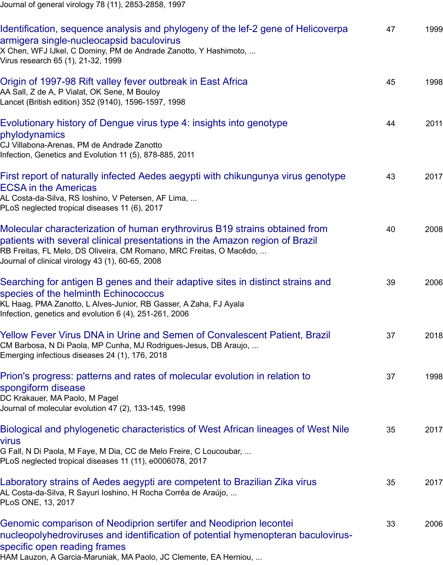Origin of 1997-98 Rift valley fever outbreak in East Africa AA Sall, Z de A, P Vialat, OK Sene, M Bouloy Lancet (British edition) 352 (9140), 1596-1597, 1998

# [Evolutionary history of Dengue virus type 4: insights into genotype](javascript:void(0)) phylodynamics

CJ Villabona-Arenas, PM de Andrade Zanotto [Infection, Genetics and Evolution 11 \(5\), 878-885, 2011](javascript:void(0))

# First report of naturally infected Aedes aegypti with chikungunya virus genotype ECSA in the Americas

[AL Costa-da-Silva, RS Ioshino, V Petersen, AF Lima, ...](javascript:void(0)) PLoS neglected tropical diseases 11 (6), 2017

Molecular characterization of human erythrovirus B19 strains obtained from patients with several clinical presentations in the Amazon region of Brazil [RB Freitas, FL Melo, DS Oliveira, CM Romano, MRC Freitas, O Macêdo, ...](javascript:void(0)) Journal of clinical virology 43 (1), 60-65, 2008

# Searching for antigen B genes and their adaptive sites in distinct strains and species of the helminth Echinococcus

[KL Haag, PMA Zanotto, L Alves-Junior, RB Gasser, A Zaha, FJ Ayala](javascript:void(0)) Infection, genetics and evolution 6 (4), 251-261, 2006

### Yellow Fever Virus DNA in Urine and Semen of Convalescent Patient, Brazil CM Barbosa, N Di Paola, MP Cunha, MJ Rodrigues-Jesus, DB Araujo, ... Emerging infectious diseases 24 (1), 176, 2018

# [Prion's progress: patterns and rates of molecular evolution in relation to](javascript:void(0)) spongiform disease

DC Krakauer, MA Paolo, M Pagel [Journal of molecular evolution 47 \(2\), 133-145, 1998](javascript:void(0))

# Biological and phylogenetic characteristics of West African lineages of West Nile virus

[G Fall, N Di Paola, M Faye, M Dia, CC de Melo Freire, C Loucoubar, ...](javascript:void(0)) PLoS neglected tropical diseases 11 (11), e0006078, 2017

### Laboratory strains of Aedes aegypti are competent to Brazilian Zika virus AL Costa-da-Silva, R Sayuri Ioshino, H Rocha Corrêa de Araújo, ... PLoS ONE, 13, 2017

# [Genomic comparison of Neodiprion sertifer and Neodiprion lecontei](javascript:void(0)) nucleopolyhedroviruses and identification of potential hymenopteran baculovirusspecific open reading frames

[HAM Lauzon, A Garcia-Maruniak, MA Paolo, JC Clemente, EA Herniou, ...](javascript:void(0))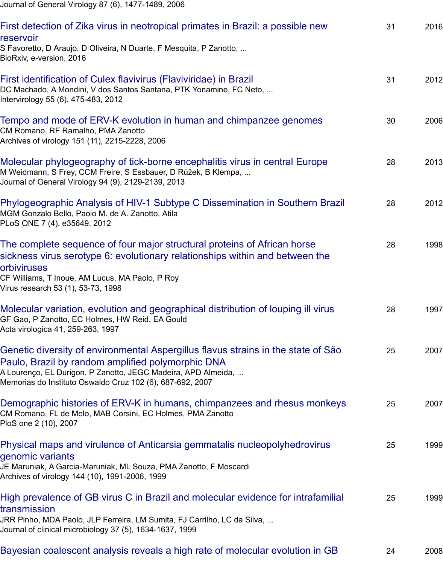First identification of Culex flavivirus (Flaviviridae) in Brazil DC Machado, A Mondini, V dos Santos Santana, PTK Yonamine, FC Neto, ... Intervirology 55 (6), 475-483, 2012

[Tempo and mode of ERV-K evolution in human and chimpanzee genomes](javascript:void(0))

CM Romano, RF Ramalho, PMA Zanotto Archives of virology 151 (11), 2215-2228, 2006

[Molecular phylogeography of tick-borne encephalitis virus i](javascript:void(0))n central Europe M Weidmann, S Frey, CCM Freire, S Essbauer, D Růžek, B Klempa, ... Journal of General Virology 94 (9), 2129-2139, 2013

[Phylogeographic Analysis of HIV-1 Subtype C Dissemination in Southern B](javascript:void(0))razil MGM Gonzalo Bello, Paolo M. de A. Zanotto, Atila PLoS ONE 7 (4), e35649, 2012

[The complete sequence of four major structural proteins of African horse](javascript:void(0)) sickness virus serotype 6: evolutionary relationships within and between the orbiviruses

[CF Williams, T Inoue, AM Lucus, MA Paolo, P Roy](javascript:void(0)) Virus research 53 (1), 53-73, 1998

Molecular variation, evolution and geographical distribution of louping ill virus [GF Gao, P Zanotto, EC Holmes, HW Reid, EA Gould](javascript:void(0)) Acta virologica 41, 259-263, 1997

Genetic diversity of environmental Aspergillus flavus strains in the state of São Paulo, Brazil by random amplified polymorphic DNA A Lourenço, EL Durigon, P Zanotto, JEGC Madeira, APD Almeida, ... [Memorias do Instituto Oswaldo Cruz 102 \(6\), 687-692, 2007](javascript:void(0))

Demographic histories of ERV-K in humans, chimpanzees and rhesus monkeys CM Romano, FL de Melo, MAB Corsini, EC Holmes, PMA Zanotto PloS one 2 (10), 2007

[Physical maps and virulence of Anticarsia gemmatalis nucleopolyhedrovirus](javascript:void(0)) genomic variants

JE Maruniak, A Garcia-Maruniak, ML Souza, PMA Zanotto, F Moscardi [Archives of virology 144 \(10\), 1991-2006, 1999](javascript:void(0))

# High prevalence of GB virus C in Brazil and molecular evidence for intrafamilial transmission

[JRR Pinho, MDA Paolo, JLP Ferreira, LM Sumita, FJ Carrilho, LC da Silva, ...](javascript:void(0)) Journal of clinical microbiology 37 (5), 1634-1637, 1999

# Bayesian coalescent analysis reveals a high rate of molecular evolution in GB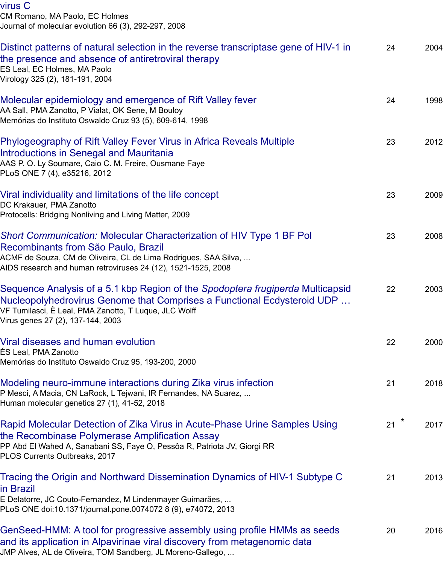[Virology 325 \(2\), 181-191, 2004](javascript:void(0))

### Molecular epidemiology and emergence of Rift Valley fever

AA Sall, PMA Zanotto, P Vialat, OK Sene, M Bouloy Memórias do Instituto Oswaldo Cruz 93 (5), 609-614, 1998

### [Phylogeography of Rift Valley Fever Virus in Africa Reveals Multiple](javascript:void(0)) Introductions in Senegal and Mauritania

AAS P. O. Ly Soumare, Caio C. M. Freire, Ousmane Faye [PLoS ONE 7 \(4\), e35216, 2012](javascript:void(0))

### Viral individuality and limitations of the life concept

DC Krakauer, PMA Zanotto [Protocells: Bridging Nonliving and Living Matter, 2009](javascript:void(0))

# *Short Communication:* Molecular Characterization of HIV Type 1 BF Pol Recombinants from São Paulo, Brazil

ACMF de Souza, CM de Oliveira, CL de Lima Rodrigues, SAA Silva, ... [AIDS research and human retroviruses 24 \(12\), 1521-1525, 20](javascript:void(0))08

# Sequence Analysis of a 5.1 kbp Region of the *Spodoptera frugiperda* Multicapsid Nucleopolyhedrovirus Genome that Comprises a Functional Ecdysteroid UDP … [VF Tumilasci, È Leal, PMA Zanotto, T Luque, JLC Wolff](javascript:void(0)) Virus genes 27 (2), 137-144, 2003

# Viral diseases and human evolution

ÉS Leal, PMA Zanotto Memórias do Instituto Oswaldo Cruz 95, 193-200, 2000

### [Modeling neuro-immune interactions during Zika virus infection](javascript:void(0))

P Mesci, A Macia, CN LaRock, L Tejwani, IR Fernandes, NA Suarez, ... Human molecular genetics 27 (1), 41-52, 2018

### [Rapid Molecular Detection of Zika V](javascript:void(0))irus in Acute-Phase Urine Samples Using the Recombinase Polymerase Amplification Assay

PP Abd El Wahed A, Sanabani SS, Faye O, Pessôa R, Patriota JV, Giorgi RR [PLOS Currents Outbreaks, 2017](javascript:void(0))

# Tracing the Origin and Northward Dissemination Dynamics of HIV-1 Subtype C in Brazil

E Delatorre, JC Couto-Fernandez, M Lindenmayer Guimarães, ... [PLoS ONE doi:10.1371/journal.pone.0074072 8 \(9\), e74072, 2013](javascript:void(0))

GenSeed-HMM: A tool for progressive assembly using profile HMMs as seeds and its application in Alpavirinae viral discovery from metagenomic data [JMP Alves, AL de Oliveira, TOM Sandberg, JL Moreno-Gallego, ...](javascript:void(0))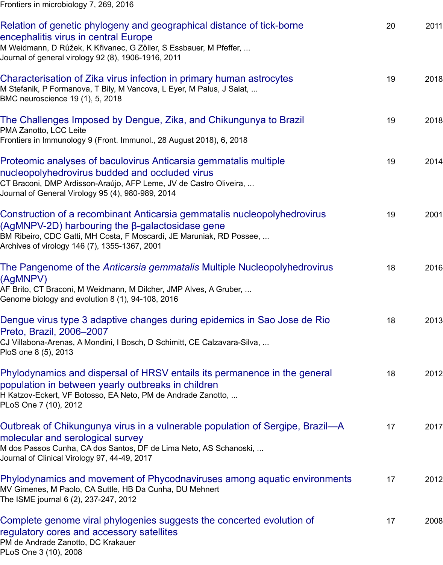Characterisation of Zika virus infection in primary human astrocytes M Stefanik, P Formanova, T Bily, M Vancova, L Eyer, M Palus, J Salat, ... BMC neuroscience 19 (1), 5, 2018

# [The Challenges Imposed by Dengue, Zika, and Chikungunya to Brazil](javascript:void(0))

PMA Zanotto, LCC Leite Frontiers in Immunology 9 (Front. Immunol., 28 August 2018), 6, 2018

# [Proteomic analyses of baculovirus Anticarsia gemmatalis multiple](javascript:void(0)) nucleopolyhedrovirus budded and occluded virus

CT Braconi, DMP Ardisson-Araújo, AFP Leme, JV de Castro Oliveira, ... [Journal of General Virology 95 \(4\), 980-989, 2014](javascript:void(0))

# Construction of a recombinant Anticarsia gemmatalis nucleopolyhedrovirus (AgMNPV-2D) harbouring the β-galactosidase gene

[BM Ribeiro, CDC Gatti, MH Costa, F Moscardi, JE Maruniak, RD Possee, ...](javascript:void(0)) Archives of virology 146 (7), 1355-1367, 2001

# The Pangenome of the *Anticarsia gemmatalis* Multiple Nucleopolyhedrovirus (AgMNPV)

[AF Brito, CT Braconi, M Weidmann, M Dilcher, JMP Alves, A Gruber, ...](javascript:void(0)) Genome biology and evolution 8 (1), 94-108, 2016

# Dengue virus type 3 adaptive changes during epidemics in Sao Jose de Rio Preto, Brazil, 2006–2007

[CJ Villabona-Arenas, A Mondini, I Bosch, D Schimitt, CE Calzavara-Silva, ...](javascript:void(0)) PloS one 8 (5), 2013

### Phylodynamics and dispersal of HRSV entails its permanence in the general population in between yearly outbreaks in children

[H Katzov-Eckert, VF Botosso, EA Neto, PM de Andrade Zanotto, ...](javascript:void(0)) PLoS One 7 (10), 2012

# Outbreak of Chikungunya virus in a vulnerable population of Sergipe, Brazil—A molecular and serological survey

[M dos Passos Cunha, CA dos Santos, DF de Lima Neto, AS Schanoski, ...](javascript:void(0)) Journal of Clinical Virology 97, 44-49, 2017

Phylodynamics and movement of Phycodnaviruses among aquatic environments MV Gimenes, M Paolo, CA Suttle, HB Da Cunha, DU Mehnert The ISME journal 6 (2), 237-247, 2012

[Complete genome viral phylogenies suggests the concerted evolution of](javascript:void(0)) regulatory cores and accessory satellites PM de Andrade Zanotto, DC Krakauer [PLoS One 3 \(10\), 2008](javascript:void(0))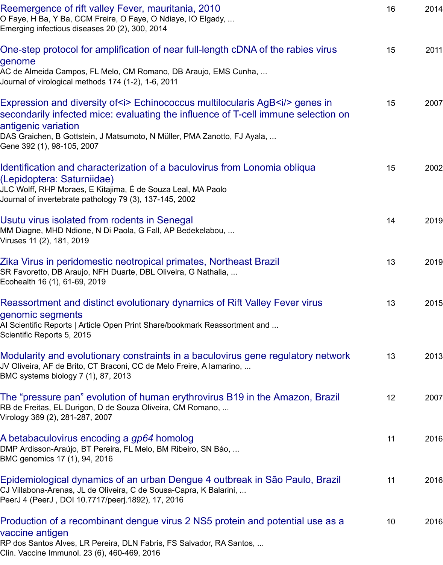[Journal of virological methods 174 \(1-2\), 1-6, 2011](javascript:void(0))

# Expression and diversity of  $\leq$  Echinococcus multilocularis AgB $\leq$ i/ $>$  genes in secondarily infected mice: evaluating the influence of T-cell immune selection on antigenic variation

[DAS Graichen, B Gottstein, J Matsumoto, N Müller, PMA Zanotto, FJ Ayala, ...](javascript:void(0)) Gene 392 (1), 98-105, 2007

# Identification and characterization of a baculovirus from Lonomia obliqua (Lepidoptera: Saturniidae)

[JLC Wolff, RHP Moraes, E Kitajima, É de Souza Leal, MA Paolo](javascript:void(0)) Journal of invertebrate pathology 79 (3), 137-145, 2002

Usutu virus isolated from rodents in Senegal MM Diagne, MHD Ndione, N Di Paola, G Fall, AP Bedekelabou, ... Viruses 11 (2), 181, 2019

### [Zika Virus in peridomestic neotropical primates, Northeast Brazil](javascript:void(0)) SR Favoretto, DB Araujo, NFH Duarte, DBL Oliveira, G Nathalia, ... Ecohealth 16 (1), 61-69, 2019

# [Reassortment and distinct evolutionary dyna](javascript:void(0))mics of Rift Valley Fever virus genomic segments

AI Scientific Reports | Article Open Print Share/bookmark Reassortment and ... [Scientific Reports 5, 2015](javascript:void(0))

# Modularity and evolutionary constraints in a baculovirus gene regulatory network

JV Oliveira, AF de Brito, CT Braconi, CC de Melo Freire, A Iamarino, ... BMC systems biology 7 (1), 87, 2013

[The "pressure pan" evolution of human erythrovirus B19 in the Amazon, Br](javascript:void(0))azil RB de Freitas, EL Durigon, D de Souza Oliveira, CM Romano, ... Virology 369 (2), 281-287, 2007

#### [A betabaculovirus encoding a](javascript:void(0)) *gp64* homolog DMP Ardisson-Araújo, BT Pereira, FL Melo, BM Ribeiro, SN Báo, ... BMC genomics 17 (1), 94, 2016

[Epidemiological dynamics of an urban Dengue 4 outbreak in São Paulo, Brazil](javascript:void(0)) CJ Villabona-Arenas, JL de Oliveira, C de Sousa-Capra, K Balarini, ... PeerJ 4 (PeerJ , DOI 10.7717/peerj.1892), 17, 2016

# [Production of a recombinant dengue virus 2 N](javascript:void(0))S5 protein and potential use as a vaccine antigen

RP dos Santos Alves, LR Pereira, DLN Fabris, FS Salvador, RA Santos, ... [Clin. Vaccine Immunol. 23 \(6\), 460-469, 2016](javascript:void(0))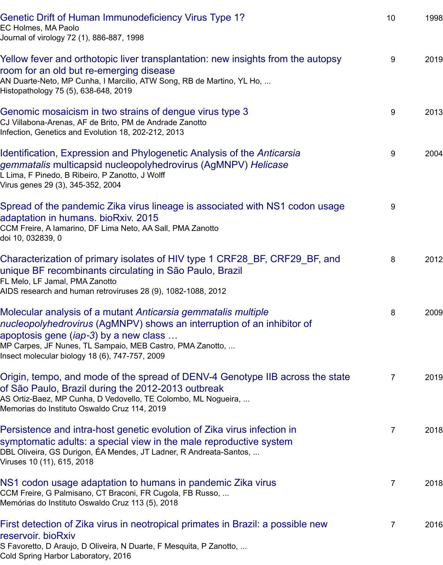AN Duarte‐Neto, MP Cunha, I Marcilio, ATW Song, RB de Martino, YL Ho, ... [Histopathology 75 \(5\), 638-648, 2019](javascript:void(0))

Genomic mosaicism in two strains of dengue virus type 3

CJ Villabona-Arenas, AF de Brito, PM de Andrade Zanotto Infection, Genetics and Evolution 18, 202-212, 2013

[Identification, Expression and Phylogenetic Analysis of the](javascript:void(0)) *Anticarsia gemmatalis* multicapsid nucleopolyhedrovirus (AgMNPV) *Helicase*

L Lima, F Pinedo, B Ribeiro, P Zanotto, J Wolff [Virus genes 29 \(3\), 345-352, 2004](javascript:void(0))

Spread of the pandemic Zika virus lineage is associated with NS1 codon usage adaptation in humans. bioRxiv. 2015 [CCM Freire, A Iamarino, DF Lima Neto, AA Sall, PMA Zanotto](javascript:void(0)) doi 10, 032839, 0

Characterization of primary isolates of HIV type 1 CRF28\_BF, CRF29\_BF, and unique BF recombinants circulating in São Paulo, Brazil FL Melo, LF Jamal, PMA Zanotto [AIDS research and human retroviruses 28 \(9\), 1082-1088, 2012](javascript:void(0))

Molecular analysis of a mutant *Anticarsia gemmatalis multiple nucleopolyhedrovirus* (AgMNPV) shows an interruption of an inhibitor of apoptosis gene (*iap*‐*3*) by a new class … [MP Carpes, JF Nunes, TL Sampaio, MEB Castro, PMA Zanotto, ...](javascript:void(0)) Insect molecular biology 18 (6), 747-757, 2009

Origin, tempo, and mode of the spread of DENV-4 Genotype IIB across the state [of São Paulo, Brazil during the 2012-2013 outbreak](javascript:void(0)) AS Ortiz-Baez, MP Cunha, D Vedovello, TE Colombo, ML Nogueira, ... Memorias do Instituto Oswaldo Cruz 114, 2019

Persistence and intra-host genetic evolution of Zika virus infection in symptomatic adults: a special view in the male reproductive system [DBL Oliveira, GS Durigon, ÉA Mendes, JT Ladner, R Andreata-Santos, ...](javascript:void(0)) Viruses 10 (11), 615, 2018

NS1 codon usage adaptation to humans in pandemic Zika virus CCM Freire, G Palmisano, CT Braconi, FR Cugola, FB Russo, ... Memórias do Instituto Oswaldo Cruz 113 (5), 2018

# [First detection of Zika virus in neotropical primates in Brazil: a possib](javascript:void(0))le new reservoir. bioRxiv

S Favoretto, D Araujo, D Oliveira, N Duarte, F Mesquita, P Zanotto, ... [Cold Spring Harbor Laboratory, 2016](javascript:void(0))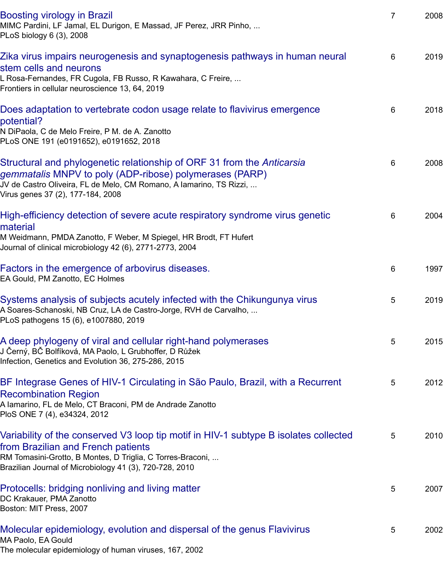L Rosa-Fernandes, FR Cugola, FB Russo, R Kawahara, C Freire, ... [Frontiers in cellular neuroscienc](javascript:void(0))e 13, 64, 2019

### Does adaptation to vertebrate codon usage relate to flavivirus emergence potential?

[N DiPaola, C de Melo Freire, P M. de A. Zanotto](javascript:void(0)) PLoS ONE 191 (e0191652), e0191652, 2018

# Structural and phylogenetic relationship of ORF 31 from the *Anticarsia gemmatalis* MNPV to poly (ADP-ribose) polymerases (PARP)

[JV de Castro Oliveira, FL de Melo, CM Romano, A Iamarino, TS Rizzi, ...](javascript:void(0)) Virus genes 37 (2), 177-184, 2008

### High-efficiency detection of severe acute respiratory syndrome virus genetic material

[M Weidmann, PMDA Zanotto, F Weber, M Spiegel, HR Brodt, FT Hufert](javascript:void(0)) Journal of clinical microbiology 42 (6), 2771-2773, 2004

# Factors in the emergence of arbovirus diseases.

EA Gould, PM Zanotto, EC Holmes

### [Systems analysis of subjects acutely infected with the Chikungunya virus](javascript:void(0)) A Soares-Schanoski, NB Cruz, LA de Castro-Jorge, RVH de Carvalho, ... PLoS pathogens 15 (6), e1007880, 2019

# [A deep phylogeny of viral and cellular right-hand](javascript:void(0)) polymerases J Černý, BČ Bolfíková, MA Paolo, L Grubhoffer, D Růžek

Infection, Genetics and Evolution 36, 275-286, 2015

# [BF Integrase Genes of HIV-1 Circulating in São Paulo, Brazil, with a Recu](javascript:void(0))rrent Recombination Region

A Iamarino, FL de Melo, CT Braconi, PM de Andrade Zanotto [PloS ONE 7 \(4\), e34324, 2012](javascript:void(0))

# Variability of the conserved V3 loop tip motif in HIV-1 subtype B isolates collected from Brazilian and French patients

[RM Tomasini-Grotto, B Montes, D Triglia, C Torres-Braconi, ...](javascript:void(0)) Brazilian Journal of Microbiology 41 (3), 720-728, 2010

# Protocells: bridging nonliving and living matter

DC Krakauer, PMA Zanotto Boston: MIT Press, 2007

# [Molecular epidemiology, evolution and dispersal of the genus Flavivirus](javascript:void(0))

MA Paolo, EA Gould The molecular epidemiology of human viruses, 167, 2002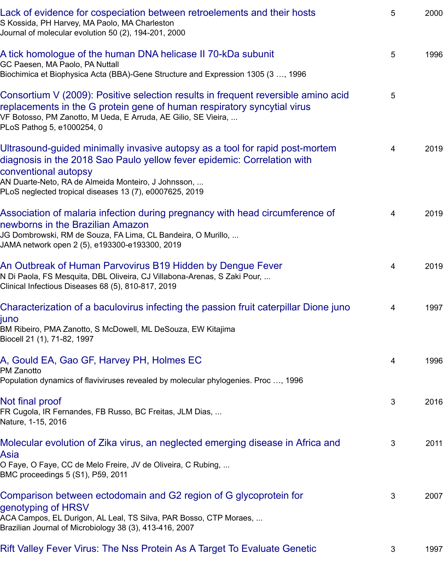Biochimica et Biophysica Acta (BBA)-Gene Structure and Expression 1305 (3 …, 1996

[Consortium V \(2009\): Positive selection results in frequent reversible ami](javascript:void(0))no acid replacements in the G protein gene of human respiratory syncytial virus VF Botosso, PM Zanotto, M Ueda, E Arruda, AE Gilio, SE Vieira, ... [PLoS Pathog 5, e1000254, 0](javascript:void(0))

# Ultrasound-guided minimally invasive autopsy as a tool for rapid post-mortem diagnosis in the 2018 Sao Paulo yellow fever epidemic: Correlation with conventional autopsy

[AN Duarte-Neto, RA de Almeida Monteiro, J Johnsson, ...](javascript:void(0)) PLoS neglected tropical diseases 13 (7), e0007625, 2019

# Association of malaria infection during pregnancy with head circumference of newborns in the Brazilian Amazon

[JG Dombrowski, RM de Souza, FA Lima, CL Bandeira, O Murillo, ...](javascript:void(0)) JAMA network open 2 (5), e193300-e193300, 2019

# An Outbreak of Human Parvovirus B19 Hidden by Dengue Fever

N Di Paola, FS Mesquita, DBL Oliveira, CJ Villabona-Arenas, S Zaki Pour, ... Clinical Infectious Diseases 68 (5), 810-817, 2019

# [Characterization of a baculovirus infecting the passion fruit caterpillar Dione ju](javascript:void(0))no

juno BM Ribeiro, PMA Zanotto, S McDowell, ML DeSouza, EW Kitajima [Biocell 21 \(1\), 71-82, 1997](javascript:void(0))

# A, Gould EA, Gao GF, Harvey PH, Holmes EC

PM Zanotto [Population dynamics of flaviviruses revealed by molecular phylogenies. Proc …, 1996](javascript:void(0))

# Not final proof

FR Cugola, IR Fernandes, FB Russo, BC Freitas, JLM Dias, ... Nature, 1-15, 2016

### [Molecular evolution of Zika virus, an neglected](javascript:void(0)) emerging disease in Africa and Asia

O Faye, O Faye, CC de Melo Freire, JV de Oliveira, C Rubing, ... [BMC proceedings](javascript:void(0)) 5 (S1), P59, 2011

# Comparison between ectodomain and G2 region of G glycoprotein for genotyping of HRSV

[ACA Campos, EL Durigon, AL Leal, TS Silva, PAR Bosso, CTP Moraes, ...](javascript:void(0)) Brazilian Journal of Microbiology 38 (3), 413-416, 2007

# Rift Valley Fever Virus: The Nss Protein As A Target To Evaluate Genetic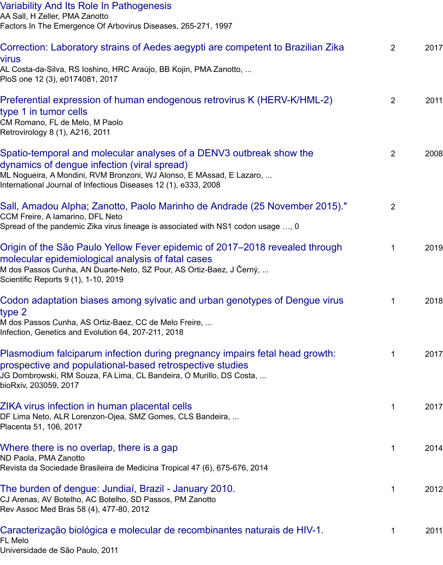[PloS one 12 \(3\), e0174081, 2017](javascript:void(0))

# Preferential expression of human endogenous retrovirus K (HERV-K/HML-2) type 1 in tumor cells

[CM Romano, FL de Melo, M Paolo](javascript:void(0)) Retrovirology 8 (1), A216, 2011

# Spatio-temporal and molecular analyses of a DENV3 outbreak show the dynamics of dengue infection (viral spread)

[ML Nogueira, A Mondini, RVM Bronzoni, WJ Alonso, E MAssad, E Lazaro, ...](javascript:void(0)) International Journal of Infectious Diseases 12 (1), e333, 2008

# Sall, Amadou Alpha; Zanotto, Paolo Marinho de Andrade (25 November 2015)."

CCM Freire, A Iamarino, DFL Neto [Spread of the pandemic Zika virus lineage is associated with NS1 codon usage …, 0](javascript:void(0))

# Origin of the São Paulo Yellow Fever epidemic of 2017–2018 revealed through molecular epidemiological analysis of fatal cases

M dos Passos Cunha, AN Duarte-Neto, SZ Pour, AS Ortiz-Baez, J Černý, ... [Scientific Reports 9 \(1\), 1-10, 2019](javascript:void(0))

# Codon adaptation biases among sylvatic and urban genotypes of Dengue virus type 2

[M dos Passos Cunha, AS Ortiz-Baez, CC de Melo Freire, ...](javascript:void(0)) Infection, Genetics and Evolution 64, 207-211, 2018

### Plasmodium falciparum infection during pregnancy impairs fetal head growth: prospective and populational-based retrospective studies

[JG Dombrowski, RM Souza, FA Lima, CL Bandeira, O Murillo, DS Costa, ...](javascript:void(0)) bioRxiv, 203059, 2017

### ZIKA virus infection in human placental cells

DF Lima Neto, ALR Lorenzon-Ojea, SMZ Gomes, CLS Bandeira, ... Placenta 51, 106, 2017

# [Where there is no overlap, there is a gap](javascript:void(0))

ND Paola, PMA Zanotto Revista da Sociedade Brasileira de Medicina Tropical 47 (6), 675-676, 2014

#### [The burden of dengue: Jundiaí, Brazil - Janu](javascript:void(0))ary 2010. CJ Arenas, AV Botelho, AC Botelho, SD Passos, PM Zanotto Rev Assoc Med Bras 58 (4), 477-80, 2012

# [Caracterização biológica e molecular de](javascript:void(0)) recombinantes naturais de HIV-1.

FL Melo Universidade de São Paulo, 2011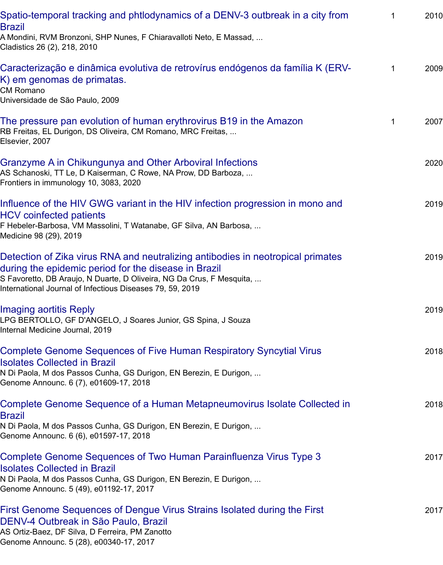#### K) em genomas de primatas.

CM Romano [Universidade de São Paulo, 2009](javascript:void(0))

#### The pressure pan evolution of human erythrovirus B19 in the Amazon RB Freitas, EL Durigon, DS Oliveira, CM Romano, MRC Freitas, ... Elsevier, 2007

# [Granzyme A in Chikungunya and Other Arboviral Infections](javascript:void(0))

AS Schanoski, TT Le, D Kaiserman, C Rowe, NA Prow, DD Barboza, ... Frontiers in immunology 10, 3083, 2020

# [Influence of the HIV GWG variant in the HIV infection progression in m](javascript:void(0))ono and HCV coinfected patients

F Hebeler-Barbosa, VM Massolini, T Watanabe, GF Silva, AN Barbosa, ... [Medicine 98 \(29\), 2019](javascript:void(0))

# Detection of Zika virus RNA and neutralizing antibodies in neotropical primates during the epidemic period for the disease in Brazil

[S Favoretto, DB Araujo, N Duarte, D Oliveira, NG Da Crus, F Mesquita, ...](javascript:void(0)) International Journal of Infectious Diseases 79, 59, 2019

Imaging aortitis Reply LPG BERTOLLO, GF D'ANGELO, J Soares Junior, GS Spina, J Souza Internal Medicine Journal, 2019

# [Complete Genome Sequences of Five Human Respiratory Syncytial Virus](javascript:void(0)) Isolates Collected in Brazil

N Di Paola, M dos Passos Cunha, GS Durigon, EN Berezin, E Durigon, ... [Genome Announc. 6 \(7\), e0](javascript:void(0))1609-17, 2018

# Complete Genome Sequence of a Human Metapneumovirus Isolate Collected in **Brazil**

[N Di Paola, M dos Passos Cunha, GS Durigon, EN Berezin, E Durigon, ...](javascript:void(0)) Genome Announc. 6 (6), e01597-17, 2018

# Complete Genome Sequences of Two Human Parainfluenza Virus Type 3 Isolates Collected in Brazil

[N Di Paola, M dos Passos Cunha, GS Durigon, EN Berezin, E Durigon, ...](javascript:void(0)) Genome Announc. 5 (49), e01192-17, 2017

# First Genome Sequences of Dengue Virus Strains Isolated during the First DENV-4 Outbreak in São Paulo, Brazil

[AS Ortiz-Baez, DF Silva, D Ferreira, PM Zanotto](javascript:void(0)) Genome Announc. 5 (28), e00340-17, 2017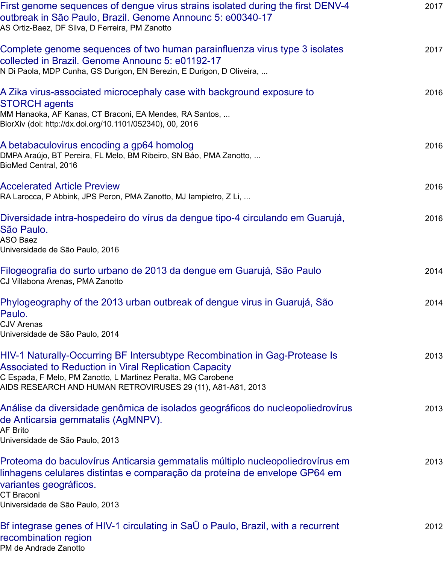### [A Zika virus-associated microcephaly case with background exposure to](javascript:void(0)) STORCH agents

MM Hanaoka, AF Kanas, CT Braconi, EA Mendes, RA Santos, ... [BiorXiv \(doi: http://dx.doi.org/10.1101/052340\), 00, 2016](javascript:void(0))

# A betabaculovirus encoding a gp64 homolog

DMPA Araújo, BT Pereira, FL Melo, BM Ribeiro, SN Báo, PMA Zanotto, ... BioMed Central, 2016

### [Accelerated Article Preview](javascript:void(0))

RA Larocca, P Abbink, JPS Peron, PMA Zanotto, MJ Iampietro, Z Li, ...

[Diversidade intra-hospedeiro do vírus da den](javascript:void(0))gue tipo-4 circulando em Guarujá, São Paulo.

ASO Baez Universidade de São Paulo, 2016

[Filogeografia do surto urban](javascript:void(0))o de 2013 da dengue em Guarujá, São Paulo CJ Villabona Arenas, PMA Zanotto

[Phylogeography of the 2013 urban outbreak of dengue virus in Guarujá, São](javascript:void(0)) Paulo.

CJV Arenas Universidade de São Paulo, 2014

### [HIV-1 Naturally-Occurring BF Intersubtype Recombination in Gag-Proteas](javascript:void(0))e Is Associated to Reduction in Viral Replication Capacity C Espada, F Melo, PM Zanotto, L Martinez Peralta, MG Carobene

[AIDS RESEARCH AND HUMAN RETROVIRUSES 29 \(11\), A81-A81, 2013](javascript:void(0))

# Análise da diversidade genômica de isolados geográficos do nucleopoliedrovírus de Anticarsia gemmatalis (AgMNPV).

AF Brito [Universidade de São Paulo, 2013](javascript:void(0))

Proteoma do baculovírus Anticarsia gemmatalis múltiplo nucleopoliedrovírus em linhagens celulares distintas e comparação da proteína de envelope GP64 em [variantes geográficos.](javascript:void(0))

CT Braconi Universidade de São Paulo, 2013

Bf integrase genes of HIV-1 circulating in SaÜ o Paulo, Brazil, with a recurrent [recombination region](javascript:void(0)) PM de Andrade Zanotto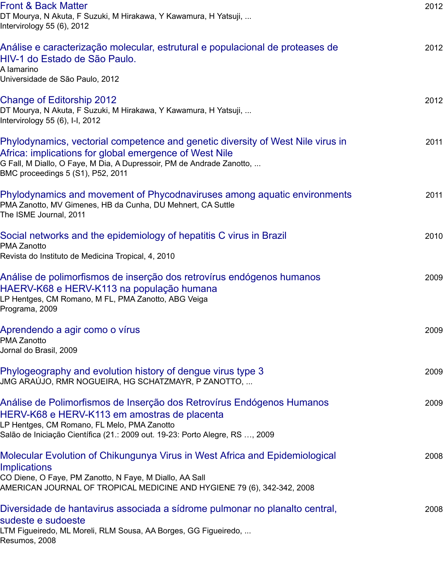[Universidade de São Pau](javascript:void(0))lo, 2012

### Change of Editorship 2012

DT Mourya, N Akuta, F Suzuki, M Hirakawa, Y Kawamura, H Yatsuji, ... Intervirology 55 (6), I-I, 2012

### [Phylodynamics, vectorial competence and genetic diversity of West Nile virus](javascript:void(0)) in Africa: implications for global emergence of West Nile

G Fall, M Diallo, O Faye, M Dia, A Dupressoir, PM de Andrade Zanotto, ... [BMC proceedings 5 \(S1\), P52, 20](javascript:void(0))11

Phylodynamics and movement of Phycodnaviruses among aquatic environments PMA Zanotto, MV Gimenes, HB da Cunha, DU Mehnert, CA Suttle The ISME Journal, 2011

[Social networks and the epidemiology of hepatitis C virus in Brazil](javascript:void(0)) PMA Zanotto Revista do Instituto de Medicina Tropical, 4, 2010

# [Análise de polimorfismos de inserção dos retrovírus endógenos humanos](javascript:void(0)) HAERV-K68 e HERV-K113 na população humana

LP Hentges, CM Romano, M FL, PMA Zanotto, ABG Veiga [Programa, 2009](javascript:void(0))

### Aprendendo a agir como o vírus

PMA Zanotto Jornal do Brasil, 2009

[Phylogeography and evolution history of dengue virus type 3](javascript:void(0)) JMG ARAÚJO, RMR NOGUEIRA, HG SCHATZMAYR, P ZANOTTO, ...

# [Análise de Polimorfismos de Inse](javascript:void(0))rção dos Retrovírus Endógenos Humanos HERV-K68 e HERV-K113 em amostras de placenta

LP Hentges, CM Romano, FL Melo, PMA Zanotto Salão de Iniciação Científica (21.: 2009 out. 19-23: Porto Alegre, RS …, 2009

# [Molecular Evolution of Chikungunya Virus in West Africa and](javascript:void(0)) Epidemiological **Implications**

CO Diene, O Faye, PM Zanotto, N Faye, M Diallo, AA Sall [AMERICAN JOURNAL OF TROPICAL MEDICINE AND HYGIENE 79 \(6\), 342-342, 2008](javascript:void(0))

# Diversidade de hantavirus associada a sídrome pulmonar no planalto central, sudeste e sudoeste

[LTM Figueiredo, ML Moreli, RLM Sousa, AA Borges, GG Figueiredo, ...](javascript:void(0)) Resumos, 2008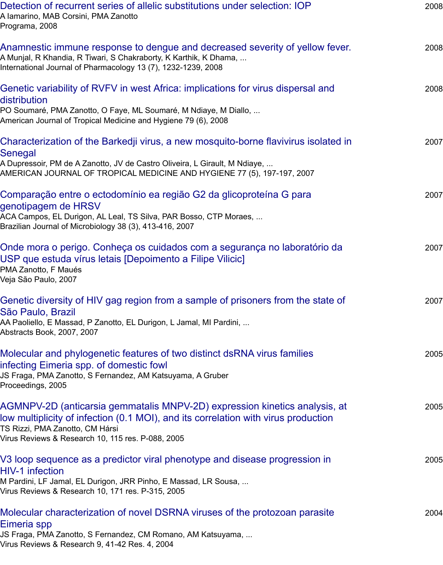# [Genetic variability of RVFV in west Africa: implications for virus dispersa](javascript:void(0))l and distribution

PO Soumaré, PMA Zanotto, O Faye, ML Soumaré, M Ndiaye, M Diallo, ... [American Journal of Tropical Medicine and Hygiene 79 \(6\), 2008](javascript:void(0))

### Characterization of the Barkedji virus, a new mosquito-borne flavivirus isolated in **Senegal**

A Dupressoir, PM de A Zanotto, JV de Castro Oliveira, L Girault, M Ndiaye, ... [AMERICAN JOURNAL OF TROPICAL MEDICINE AND HYGIENE 77 \(5\), 197-197, 2007](javascript:void(0))

# Comparação entre o ectodomínio ea região G2 da glicoproteína G para genotipagem de HRSV

[ACA Campos, EL Durigon, AL Leal, TS Silva, PAR Bosso, CTP Moraes, ...](javascript:void(0)) Brazilian Journal of Microbiology 38 (3), 413-416, 2007

# Onde mora o perigo. Conheça os cuidados com a segurança no laboratório da USP que estuda vírus letais [Depoimento a Filipe Vilicic]

[PMA Zanotto, F Maués](javascript:void(0)) Veja São Paulo, 2007

# Genetic diversity of HIV gag region from a sample of prisoners from the state of São Paulo, Brazil

[AA Paoliello, E Massad, P Zanotto, EL Durigon, L Jamal, MI Pardini, ...](javascript:void(0)) Abstracts Book, 2007, 2007

# Molecular and phylogenetic features of two distinct dsRNA virus families infecting Eimeria spp. of domestic fowl

[JS Fraga, PMA Zanotto, S Fernandez, AM Katsuyama, A Gruber](javascript:void(0)) Proceedings, 2005

# AGMNPV-2D (anticarsia gemmatalis MNPV-2D) expression kinetics analysis, at low multiplicity of infection (0.1 MOI), and its correlation with virus production TS Rizzi, PMA Zanotto, CM Hársi

[Virus Reviews & Research 10, 115 res. P-088, 2005](javascript:void(0))

# V3 loop sequence as a predictor viral phenotype and disease progression in HIV-1 infection

[M Pardini, LF Jamal, EL Durigon, JRR Pinho, E Massad, LR Sousa, ...](javascript:void(0)) Virus Reviews & Research 10, 171 res. P-315, 2005

# Molecular characterization of novel DSRNA viruses of the protozoan parasite Eimeria spp

[JS Fraga, PMA Zanotto, S Fernandez, CM Romano, AM Katsuyama, ...](javascript:void(0)) Virus Reviews & Research 9, 41-42 Res. 4, 2004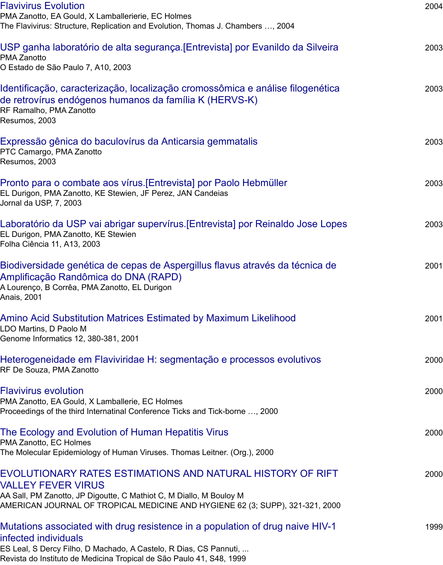[Identificação, caract](javascript:void(0))erização, localização cromossômica e análise filogenética de retrovírus endógenos humanos da família K (HERVS-K)

RF Ramalho, PMA Zanotto [Resumos, 2003](javascript:void(0))

Expressão gênica do baculovírus da Anticarsia gemmatalis

PTC Camargo, PMA Zanotto Resumos, 2003

# [Pronto para o combate aos vírus.\[Entrevista\] por Paolo Hebmüller](javascript:void(0))

EL Durigon, PMA Zanotto, KE Stewien, JF Perez, JAN Candeias Jornal da USP, 7, 2003

[Laboratório da USP vai abrigar supervírus.\[Entrevista\] por R](javascript:void(0))einaldo Jose Lopes EL Durigon, PMA Zanotto, KE Stewien Folha Ciência 11, A13, 2003

[Biodiversidade genética de cepas de Aspergillus flavus através da](javascript:void(0)) técnica de Amplificação Randômica do DNA (RAPD)

A Lourenço, B Corrêa, PMA Zanotto, EL Durigon [Anais, 2001](javascript:void(0))

Amino Acid Substitution Matrices Estimated by Maximum Likelihood LDO Martins, D Paolo M Genome Informatics 12, 380-381, 2001

### [Heterogeneidade em Flaviviridae H: segmentação e processos evolutivos](javascript:void(0)) RF De Souza, PMA Zanotto

[Flavivirus evolution](javascript:void(0))

PMA Zanotto, EA Gould, X Lamballerie, EC Holmes Proceedings of the third Internatinal Conference Ticks and Tick-borne …, 2000

# [The Ecology and Evolution of Human Hepatitis Virus](javascript:void(0))

PMA Zanotto, EC Holmes The Molecular Epidemiology of Human Viruses. Thomas Leitner. (Org.), 2000

# [EVOLUTIONARY R](javascript:void(0))ATES ESTIMATIONS AND NATURAL HISTORY OF RIFT VALLEY FEVER VIRUS

AA Sall, PM Zanotto, JP Digoutte, C Mathiot C, M Diallo, M Bouloy M [AMERICAN JOURNAL OF TROPICAL MEDICINE AND HYGIEN](javascript:void(0))E 62 (3; SUPP), 321-321, 2000

# Mutations associated with drug resistence in a population of drug naive HIV-1 infected individuals

ES Leal, S Dercy Filho, D Machado, A Castelo, R Dias, CS Pannuti, ... [Revista do Instituto de Medicina Tropical de São Paulo 41, S48, 1999](javascript:void(0))